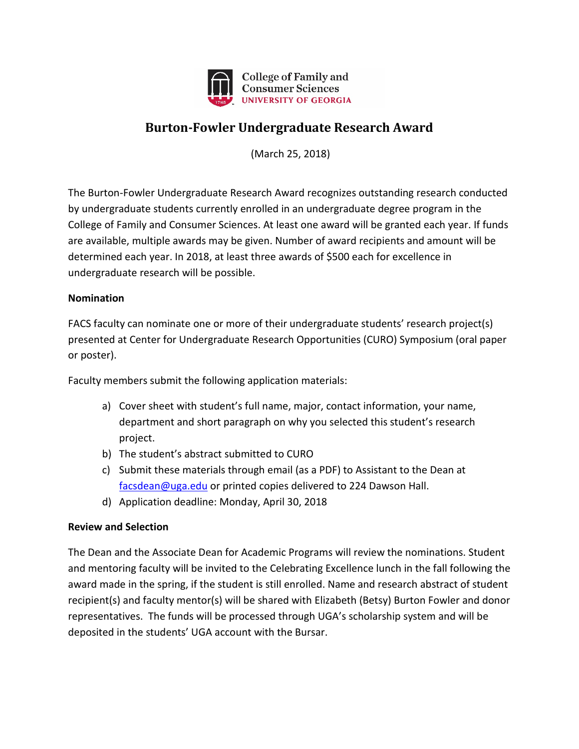

## **Burton-Fowler Undergraduate Research Award**

(March 25, 2018)

The Burton-Fowler Undergraduate Research Award recognizes outstanding research conducted by undergraduate students currently enrolled in an undergraduate degree program in the College of Family and Consumer Sciences. At least one award will be granted each year. If funds are available, multiple awards may be given. Number of award recipients and amount will be determined each year. In 2018, at least three awards of \$500 each for excellence in undergraduate research will be possible.

## **Nomination**

FACS faculty can nominate one or more of their undergraduate students' research project(s) presented at Center for Undergraduate Research Opportunities (CURO) Symposium (oral paper or poster).

Faculty members submit the following application materials:

- a) Cover sheet with student's full name, major, contact information, your name, department and short paragraph on why you selected this student's research project.
- b) The student's abstract submitted to CURO
- c) Submit these materials through email (as a PDF) to Assistant to the Dean at [facsdean@uga.edu](mailto:facsdean@uga.edu) or printed copies delivered to 224 Dawson Hall.
- d) Application deadline: Monday, April 30, 2018

## **Review and Selection**

The Dean and the Associate Dean for Academic Programs will review the nominations. Student and mentoring faculty will be invited to the Celebrating Excellence lunch in the fall following the award made in the spring, if the student is still enrolled. Name and research abstract of student recipient(s) and faculty mentor(s) will be shared with Elizabeth (Betsy) Burton Fowler and donor representatives. The funds will be processed through UGA's scholarship system and will be deposited in the students' UGA account with the Bursar.